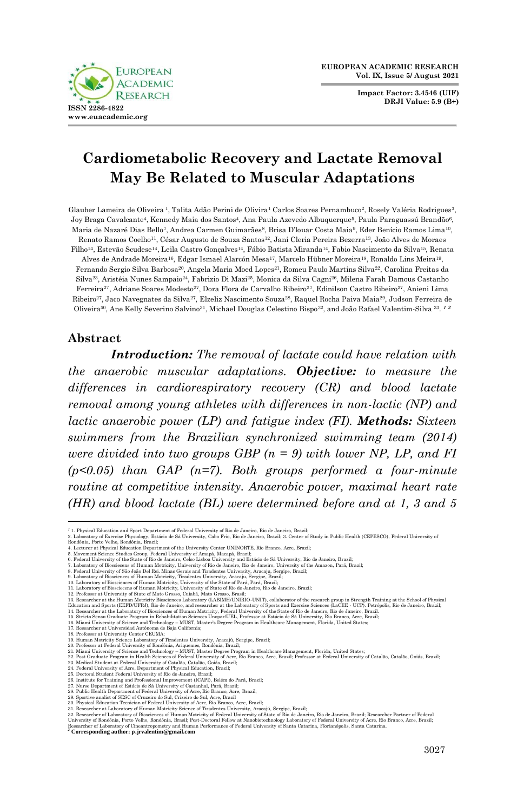

**Impact Factor: 3.4546 (UIF) DRJI Value: 5.9 (B+)**



# **Cardiometabolic Recovery and Lactate Removal May Be Related to Muscular Adaptations**

Glauber Lameira de Oliveira <sup>1</sup>, Talita Adão Perini de Olivira<sup>1</sup> Carlos Soares Pernambuco<sup>2</sup>, Rosely Valéria Rodrigues<sup>3</sup>, Joy Braga Cavalcante4, Kennedy Maia dos Santos4, Ana Paula Azevedo Albuquerque5, Paula Paraguassú Brandão6, Maria de Nazaré Dias Bello<sup>7</sup>, Andrea Carmen Guimarães<sup>8</sup>, Brisa D'Iouar Costa Maia<sup>9</sup>, Eder Benício Ramos Lima<sup>10</sup>, Renato Ramos Coelho11, César Augusto de Souza Santos12, Jani Cleria Pereira Bezerra13, João Alves de Moraes Filho14, Estevão Scudese14, Leila Castro Gonçalves14, Fábio Batista Miranda14, Fabio Nascimento da Silva15, Renata Alves de Andrade Moreira16, Edgar Ismael Alarcón Mesa17, Marcelo Hübner Moreira18, Ronaldo Lins Meira19, Fernando Sergio Silva Barbosa20, Angela Maria Moed Lopes21, Romeu Paulo Martins Silva22, Carolina Freitas da Silva23, Aristéia Nunes Sampaio24, Fabrizio Di Mazi25, Monica da Silva Cagni26, Milena Farah Damous Castanho Ferreira27, Adriane Soares Modesto27, Dora Flora de Carvalho Ribeiro27, Edinilson Castro Ribeiro27, Anieni Lima Ribeiro27, Jaco Navegnates da Silva27, Elzeliz Nascimento Souza28, Raquel Rocha Paiva Maia29, Judson Ferreira de Oliveira³0, Ane Kelly Severino Salvino31, Michael Douglas Celestino Bispo32, and João Rafael Valentim-Silva 33. *1 2*

#### **Abstract**

*Introduction: The removal of lactate could have relation with the anaerobic muscular adaptations. Objective: to measure the differences in cardiorespiratory recovery (CR) and blood lactate removal among young athletes with differences in non-lactic (NP) and lactic anaerobic power (LP) and fatigue index (FI). Methods: Sixteen swimmers from the Brazilian synchronized swimming team (2014) were divided into two groups GBP (n = 9) with lower NP, LP, and FI (p<0.05) than GAP (n=7). Both groups performed a four-minute routine at competitive intensity. Anaerobic power, maximal heart rate (HR) and blood lactate (BL) were determined before and at 1, 3 and 5* 

28. Publie Health Department of Federal University of Acre, Rio Branco, Acre, Brazil;<br>29. Sportive analist of SESC of Cruzeiro do Sul, Crizeiro do Sul, Arre, Brazil;<br>20. Physical Education Tecnician of Federal University o

<sup>&</sup>lt;sup>1</sup> 1. Physical Education and Sport Department of Federal University of Rio de Janeiro, Rio de Janeiro, Brazil;<br>2. Laboratory of Exercise Physiology, Estatio de Sá University, Cabo Frio, Rio de Janeiro, Brazil; 3. Center o

<sup>4.</sup> Lecturer at Physical Education Department of the University Center UNINORTE, Rio Branco, Acre, Brazil;<br>5. Movement Science Studies Group, Federal University of Amapá, Macapá, Mezali;<br>6. Federal University of the State o

<sup>11.</sup> Laboratory of Biosciecens of Human Motricity, University of State of Rio de Janeiro, Rio de Janeiro, Brazil;

<sup>12.</sup> Professor at University of State of Mato Grosso, Cuiabá, Mato Grosso, Brasil.<br>13. Researcher at the Human Motricity Biosciences Laboratory (LABIMH/UNIRIO-UNIT), collaborator of the research group in Strength Training a

<sup>20.</sup> Professor at Federal University of Rondonia, Ariquemes, Rondonia, Brazil;<br>21. Miami University of Science and Technology – MUST, Master Degree Program in Healthcare Management, Florida, United States;<br>22. Post Graduate

<sup>27.</sup> Nurse Department of Estácio de Sá University of Castanhal, Pará, Brazil;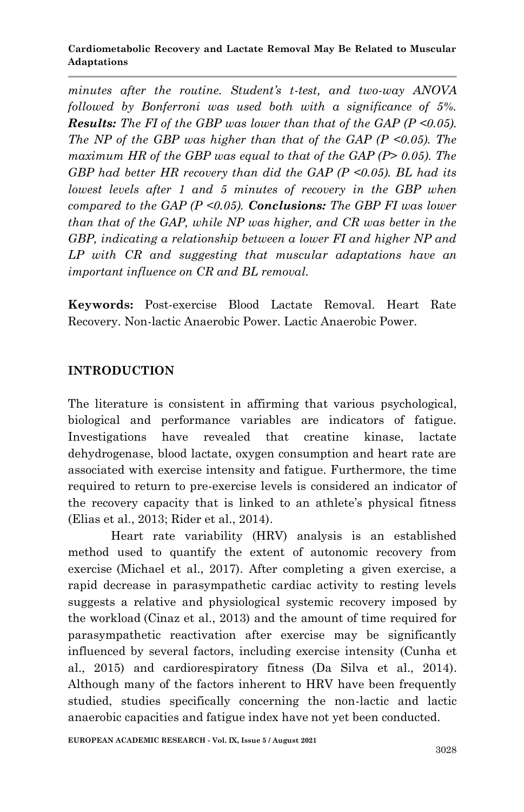*minutes after the routine. Student's t-test, and two-way ANOVA followed by Bonferroni was used both with a significance of 5%. Results: The FI of the GBP was lower than that of the GAP (P <0.05). The NP of the GBP was higher than that of the GAP (P <0.05). The maximum HR of the GBP was equal to that of the GAP (P> 0.05). The GBP had better HR recovery than did the GAP (P <0.05). BL had its lowest levels after 1 and 5 minutes of recovery in the GBP when compared to the GAP (P <0.05). Conclusions: The GBP FI was lower than that of the GAP, while NP was higher, and CR was better in the GBP, indicating a relationship between a lower FI and higher NP and LP with CR and suggesting that muscular adaptations have an important influence on CR and BL removal.*

**Keywords:** Post-exercise Blood Lactate Removal. Heart Rate Recovery. Non-lactic Anaerobic Power. Lactic Anaerobic Power.

# **INTRODUCTION**

The literature is consistent in affirming that various psychological, biological and performance variables are indicators of fatigue. Investigations have revealed that creatine kinase, lactate dehydrogenase, blood lactate, oxygen consumption and heart rate are associated with exercise intensity and fatigue. Furthermore, the time required to return to pre-exercise levels is considered an indicator of the recovery capacity that is linked to an athlete's physical fitness (Elias et al., 2013; Rider et al., 2014).

Heart rate variability (HRV) analysis is an established method used to quantify the extent of autonomic recovery from exercise (Michael et al., 2017). After completing a given exercise, a rapid decrease in parasympathetic cardiac activity to resting levels suggests a relative and physiological systemic recovery imposed by the workload (Cinaz et al., 2013) and the amount of time required for parasympathetic reactivation after exercise may be significantly influenced by several factors, including exercise intensity (Cunha et al., 2015) and cardiorespiratory fitness (Da Silva et al., 2014). Although many of the factors inherent to HRV have been frequently studied, studies specifically concerning the non-lactic and lactic anaerobic capacities and fatigue index have not yet been conducted.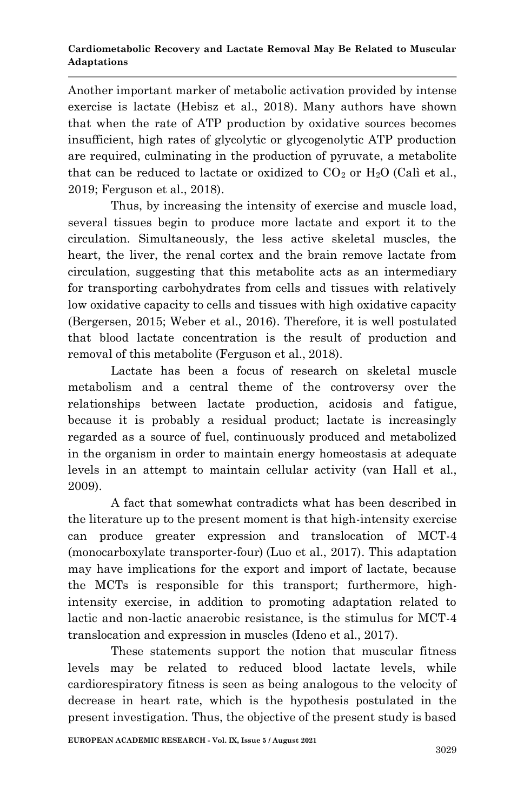Another important marker of metabolic activation provided by intense exercise is lactate (Hebisz et al., 2018). Many authors have shown that when the rate of ATP production by oxidative sources becomes insufficient, high rates of glycolytic or glycogenolytic ATP production are required, culminating in the production of pyruvate, a metabolite that can be reduced to lactate or oxidized to  $CO<sub>2</sub>$  or  $H<sub>2</sub>O$  (Calì et al., 2019; Ferguson et al., 2018).

Thus, by increasing the intensity of exercise and muscle load, several tissues begin to produce more lactate and export it to the circulation. Simultaneously, the less active skeletal muscles, the heart, the liver, the renal cortex and the brain remove lactate from circulation, suggesting that this metabolite acts as an intermediary for transporting carbohydrates from cells and tissues with relatively low oxidative capacity to cells and tissues with high oxidative capacity (Bergersen, 2015; Weber et al., 2016). Therefore, it is well postulated that blood lactate concentration is the result of production and removal of this metabolite (Ferguson et al., 2018).

Lactate has been a focus of research on skeletal muscle metabolism and a central theme of the controversy over the relationships between lactate production, acidosis and fatigue, because it is probably a residual product; lactate is increasingly regarded as a source of fuel, continuously produced and metabolized in the organism in order to maintain energy homeostasis at adequate levels in an attempt to maintain cellular activity (van Hall et al., 2009).

A fact that somewhat contradicts what has been described in the literature up to the present moment is that high-intensity exercise can produce greater expression and translocation of MCT-4 (monocarboxylate transporter-four) (Luo et al., 2017). This adaptation may have implications for the export and import of lactate, because the MCTs is responsible for this transport; furthermore, highintensity exercise, in addition to promoting adaptation related to lactic and non-lactic anaerobic resistance, is the stimulus for MCT-4 translocation and expression in muscles (Ideno et al., 2017).

These statements support the notion that muscular fitness levels may be related to reduced blood lactate levels, while cardiorespiratory fitness is seen as being analogous to the velocity of decrease in heart rate, which is the hypothesis postulated in the present investigation. Thus, the objective of the present study is based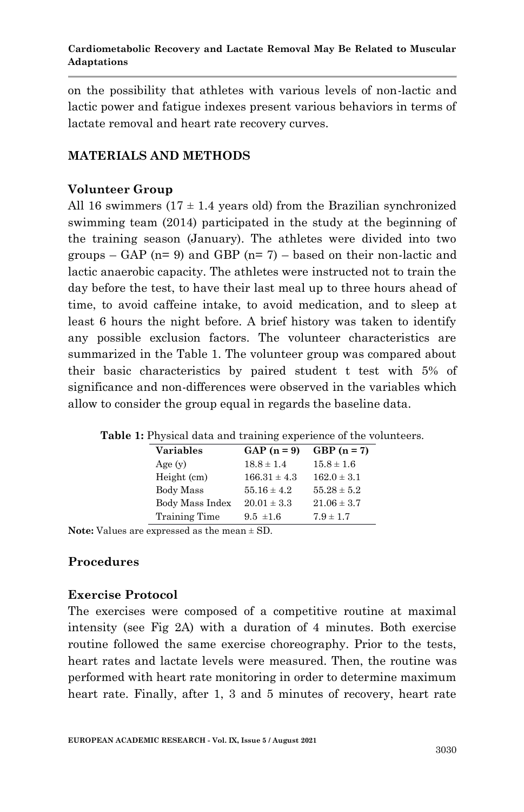on the possibility that athletes with various levels of non-lactic and lactic power and fatigue indexes present various behaviors in terms of lactate removal and heart rate recovery curves.

## **MATERIALS AND METHODS**

# **Volunteer Group**

All 16 swimmers  $(17 \pm 1.4$  years old) from the Brazilian synchronized swimming team (2014) participated in the study at the beginning of the training season (January). The athletes were divided into two groups – GAP ( $n= 9$ ) and GBP ( $n= 7$ ) – based on their non-lactic and lactic anaerobic capacity. The athletes were instructed not to train the day before the test, to have their last meal up to three hours ahead of time, to avoid caffeine intake, to avoid medication, and to sleep at least 6 hours the night before. A brief history was taken to identify any possible exclusion factors. The volunteer characteristics are summarized in the Table 1. The volunteer group was compared about their basic characteristics by paired student t test with 5% of significance and non-differences were observed in the variables which allow to consider the group equal in regards the baseline data.

| Variables       | $GAP(n=9)$       | $GBP(n=7)$      |
|-----------------|------------------|-----------------|
| Age(y)          | $18.8 \pm 1.4$   | $15.8 \pm 1.6$  |
| Height (cm)     | $166.31 \pm 4.3$ | $162.0 \pm 3.1$ |
| Body Mass       | $55.16 \pm 4.2$  | $55.28 \pm 5.2$ |
| Body Mass Index | $20.01 \pm 3.3$  | $21.06 \pm 3.7$ |
| Training Time   | $9.5 \pm 1.6$    | $7.9 \pm 1.7$   |

**Table 1:** Physical data and training experience of the volunteers.

**Note:** Values are expressed as the mean ± SD.

## **Procedures**

## **Exercise Protocol**

The exercises were composed of a competitive routine at maximal intensity (see Fig 2A) with a duration of 4 minutes. Both exercise routine followed the same exercise choreography. Prior to the tests, heart rates and lactate levels were measured. Then, the routine was performed with heart rate monitoring in order to determine maximum heart rate. Finally, after 1, 3 and 5 minutes of recovery, heart rate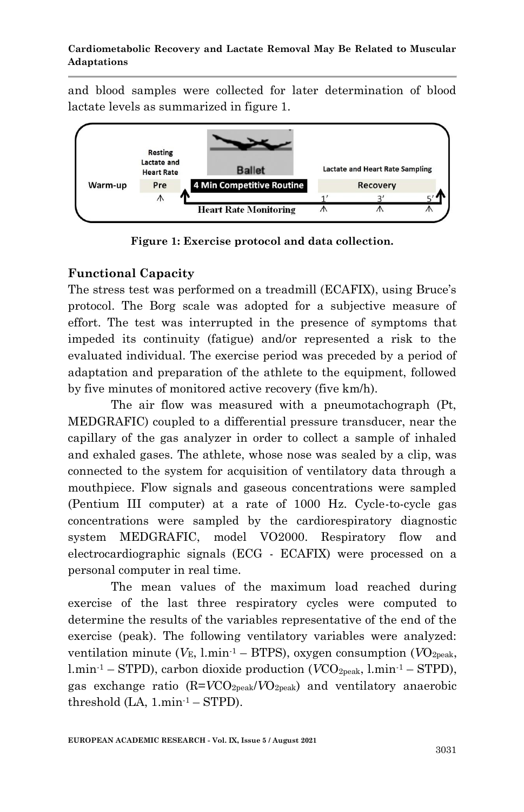and blood samples were collected for later determination of blood lactate levels as summarized in figure 1.



**Figure 1: Exercise protocol and data collection.**

# **Functional Capacity**

The stress test was performed on a treadmill (ECAFIX), using Bruce's protocol. The Borg scale was adopted for a subjective measure of effort. The test was interrupted in the presence of symptoms that impeded its continuity (fatigue) and/or represented a risk to the evaluated individual. The exercise period was preceded by a period of adaptation and preparation of the athlete to the equipment, followed by five minutes of monitored active recovery (five km/h).

The air flow was measured with a pneumotachograph (Pt, MEDGRAFIC) coupled to a differential pressure transducer, near the capillary of the gas analyzer in order to collect a sample of inhaled and exhaled gases. The athlete, whose nose was sealed by a clip, was connected to the system for acquisition of ventilatory data through a mouthpiece. Flow signals and gaseous concentrations were sampled (Pentium III computer) at a rate of 1000 Hz. Cycle-to-cycle gas concentrations were sampled by the cardiorespiratory diagnostic system MEDGRAFIC, model VO2000. Respiratory flow and electrocardiographic signals (ECG - ECAFIX) were processed on a personal computer in real time.

The mean values of the maximum load reached during exercise of the last three respiratory cycles were computed to determine the results of the variables representative of the end of the exercise (peak). The following ventilatory variables were analyzed: ventilation minute ( $V_{\text{E}}$ , l.min<sup>-1</sup> – BTPS), oxygen consumption ( $VO_{\text{2peak}}$ , l.min<sup>-1</sup> – STPD), carbon dioxide production (*VCO*<sub>2peak</sub>, l.min<sup>-1</sup> – STPD), gas exchange ratio (R=*V*CO2peak/*V*O2peak) and ventilatory anaerobic threshold  $(LA, 1.min^{-1} - STPD)$ .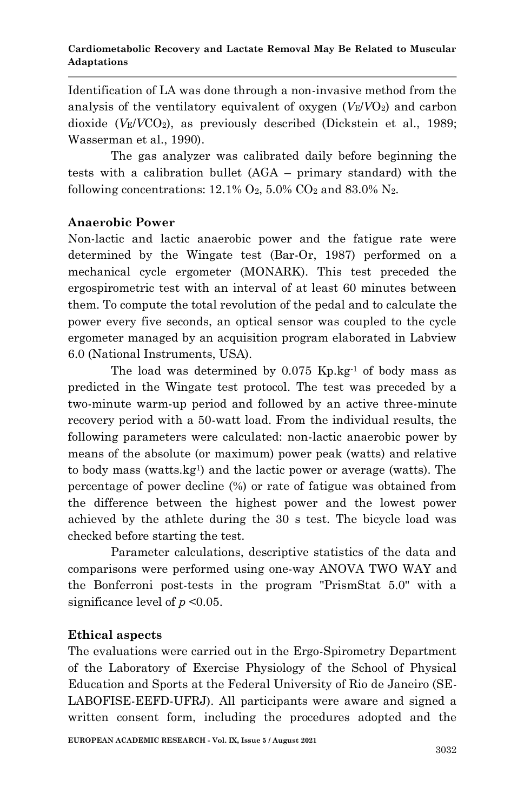Identification of LA was done through a non-invasive method from the analysis of the ventilatory equivalent of oxygen (*V*E/*V*O2) and carbon dioxide  $(V_F/VCO_2)$ , as previously described (Dickstein et al., 1989; Wasserman et al., 1990).

The gas analyzer was calibrated daily before beginning the tests with a calibration bullet (AGA – primary standard) with the following concentrations:  $12.1\%$  O<sub>2</sub>,  $5.0\%$  CO<sub>2</sub> and  $83.0\%$  N<sub>2</sub>.

### **Anaerobic Power**

Non-lactic and lactic anaerobic power and the fatigue rate were determined by the Wingate test (Bar-Or, 1987) performed on a mechanical cycle ergometer (MONARK). This test preceded the ergospirometric test with an interval of at least 60 minutes between them. To compute the total revolution of the pedal and to calculate the power every five seconds, an optical sensor was coupled to the cycle ergometer managed by an acquisition program elaborated in Labview 6.0 (National Instruments, USA).

The load was determined by 0.075 Kp.kg-1 of body mass as predicted in the Wingate test protocol. The test was preceded by a two-minute warm-up period and followed by an active three-minute recovery period with a 50-watt load. From the individual results, the following parameters were calculated: non-lactic anaerobic power by means of the absolute (or maximum) power peak (watts) and relative to body mass (watts.kg<sup>1</sup>) and the lactic power or average (watts). The percentage of power decline (%) or rate of fatigue was obtained from the difference between the highest power and the lowest power achieved by the athlete during the 30 s test. The bicycle load was checked before starting the test.

Parameter calculations, descriptive statistics of the data and comparisons were performed using one-way ANOVA TWO WAY and the Bonferroni post-tests in the program "PrismStat 5.0" with a significance level of *p* <0.05.

## **Ethical aspects**

The evaluations were carried out in the Ergo-Spirometry Department of the Laboratory of Exercise Physiology of the School of Physical Education and Sports at the Federal University of Rio de Janeiro (SE-LABOFISE-EEFD-UFRJ). All participants were aware and signed a written consent form, including the procedures adopted and the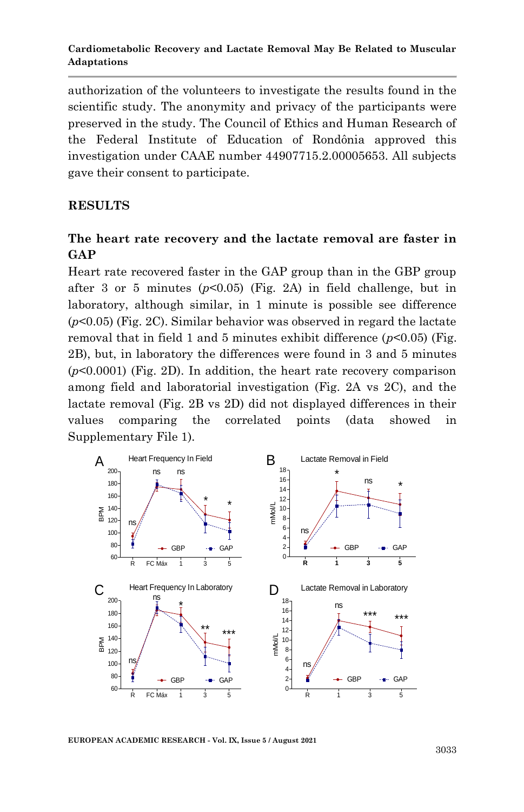authorization of the volunteers to investigate the results found in the scientific study. The anonymity and privacy of the participants were preserved in the study. The Council of Ethics and Human Research of the Federal Institute of Education of Rondônia approved this investigation under CAAE number 44907715.2.00005653. All subjects gave their consent to participate.

# **RESULTS**

# **The heart rate recovery and the lactate removal are faster in GAP**

Heart rate recovered faster in the GAP group than in the GBP group after 3 or 5 minutes (*p*<0.05) (Fig. 2A) in field challenge, but in laboratory, although similar, in 1 minute is possible see difference (*p*<0.05) (Fig. 2C). Similar behavior was observed in regard the lactate removal that in field 1 and 5 minutes exhibit difference  $(p<0.05)$  (Fig. 2B), but, in laboratory the differences were found in 3 and 5 minutes (*p*<0.0001) (Fig. 2D). In addition, the heart rate recovery comparison among field and laboratorial investigation (Fig. 2A vs 2C), and the lactate removal (Fig. 2B vs 2D) did not displayed differences in their values comparing the correlated points (data showed in Supplementary File 1).



**EUROPEAN ACADEMIC RESEARCH - Vol. IX, Issue 5 / August 2021**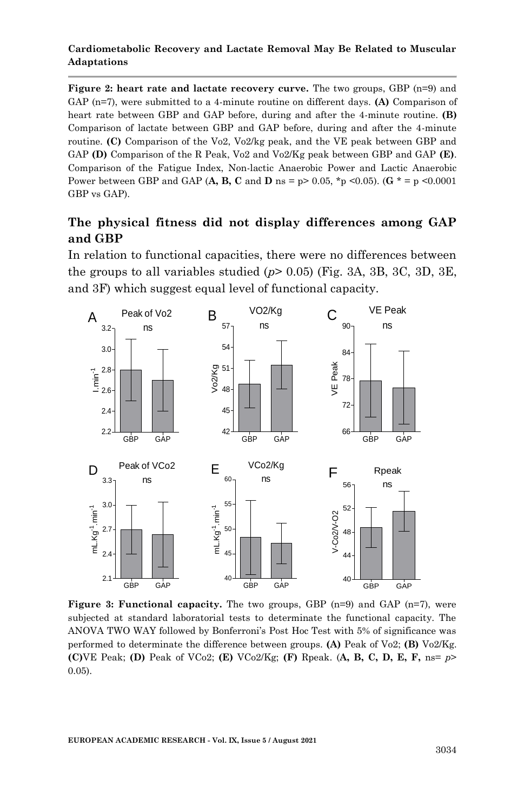**Figure 2: heart rate and lactate recovery curve.** The two groups, GBP (n=9) and GAP (n=7), were submitted to a 4-minute routine on different days. **(A)** Comparison of heart rate between GBP and GAP before, during and after the 4-minute routine. **(B)** Comparison of lactate between GBP and GAP before, during and after the 4-minute routine. **(C)** Comparison of the Vo2, Vo2/kg peak, and the VE peak between GBP and GAP **(D)** Comparison of the R Peak, Vo2 and Vo2/Kg peak between GBP and GAP **(E)**. Comparison of the Fatigue Index, Non-lactic Anaerobic Power and Lactic Anaerobic Power between GBP and GAP (**A, B, C** and **D** ns =  $p > 0.05$ ,  $* p \le 0.05$ ). (**G**  $* = p \le 0.0001$ GBP vs GAP).

# **The physical fitness did not display differences among GAP and GBP**

In relation to functional capacities, there were no differences between the groups to all variables studied (*p*> 0.05) (Fig. 3A, 3B, 3C, 3D, 3E, and 3F) which suggest equal level of functional capacity.



**Figure 3: Functional capacity.** The two groups, GBP (n=9) and GAP (n=7), were subjected at standard laboratorial tests to determinate the functional capacity. The ANOVA TWO WAY followed by Bonferroni's Post Hoc Test with 5% of significance was performed to determinate the difference between groups. **(A)** Peak of Vo2; **(B)** Vo2/Kg. **(C)**VE Peak; **(D)** Peak of VCo2; **(E)** VCo2/Kg; **(F)** Rpeak. (**A, B, C, D, E, F,** ns= *p*> 0.05).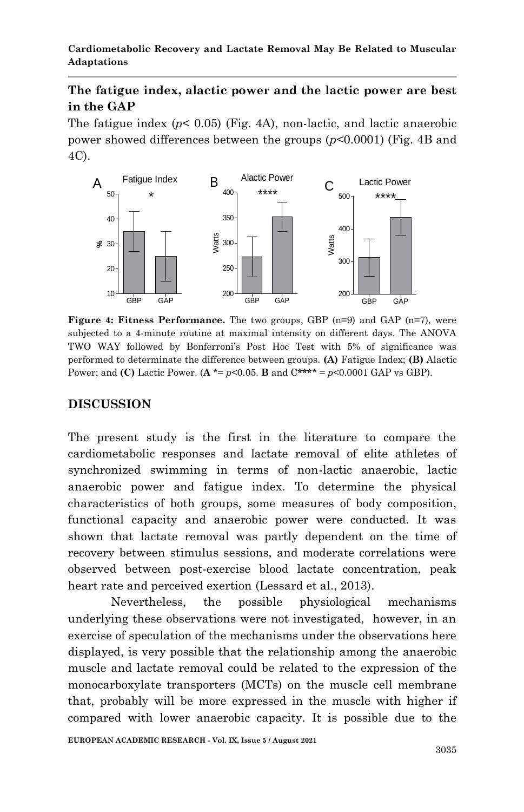# **The fatigue index, alactic power and the lactic power are best in the GAP**

The fatigue index  $(p< 0.05)$  (Fig. 4A), non-lactic, and lactic anaerobic power showed differences between the groups (*p*<0.0001) (Fig. 4B and 4C).



**Figure 4: Fitness Performance.** The two groups, GBP (n=9) and GAP (n=7), were subjected to a 4-minute routine at maximal intensity on different days. The ANOVA TWO WAY followed by Bonferroni's Post Hoc Test with 5% of significance was performed to determinate the difference between groups. **(A)** Fatigue Index; **(B)** Alactic Power; and **(C)** Lactic Power.  $(A * = p < 0.05$ . **B** and  $C * * * = p < 0.0001$  GAP vs GBP).

# **DISCUSSION**

The present study is the first in the literature to compare the cardiometabolic responses and lactate removal of elite athletes of synchronized swimming in terms of non-lactic anaerobic, lactic anaerobic power and fatigue index. To determine the physical characteristics of both groups, some measures of body composition, functional capacity and anaerobic power were conducted. It was shown that lactate removal was partly dependent on the time of recovery between stimulus sessions, and moderate correlations were observed between post-exercise blood lactate concentration, peak heart rate and perceived exertion (Lessard et al., 2013).

Nevertheless, the possible physiological mechanisms underlying these observations were not investigated, however, in an exercise of speculation of the mechanisms under the observations here displayed, is very possible that the relationship among the anaerobic muscle and lactate removal could be related to the expression of the monocarboxylate transporters (MCTs) on the muscle cell membrane that, probably will be more expressed in the muscle with higher if compared with lower anaerobic capacity. It is possible due to the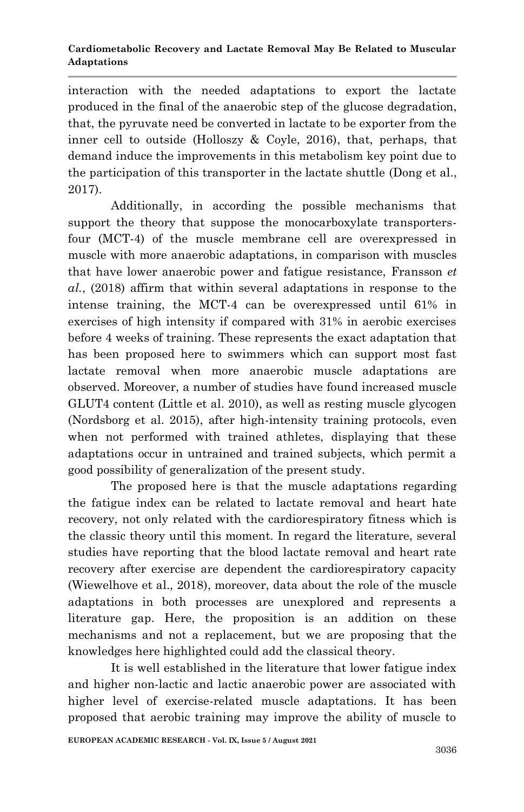interaction with the needed adaptations to export the lactate produced in the final of the anaerobic step of the glucose degradation, that, the pyruvate need be converted in lactate to be exporter from the inner cell to outside (Holloszy & Coyle, 2016), that, perhaps, that demand induce the improvements in this metabolism key point due to the participation of this transporter in the lactate shuttle (Dong et al., 2017).

Additionally, in according the possible mechanisms that support the theory that suppose the monocarboxylate transportersfour (MCT-4) of the muscle membrane cell are overexpressed in muscle with more anaerobic adaptations, in comparison with muscles that have lower anaerobic power and fatigue resistance, Fransson *et al.*, (2018) affirm that within several adaptations in response to the intense training, the MCT-4 can be overexpressed until 61% in exercises of high intensity if compared with 31% in aerobic exercises before 4 weeks of training. These represents the exact adaptation that has been proposed here to swimmers which can support most fast lactate removal when more anaerobic muscle adaptations are observed. Moreover, a number of studies have found increased muscle GLUT4 content (Little et al. 2010), as well as resting muscle glycogen (Nordsborg et al. 2015), after high-intensity training protocols, even when not performed with trained athletes, displaying that these adaptations occur in untrained and trained subjects, which permit a good possibility of generalization of the present study.

The proposed here is that the muscle adaptations regarding the fatigue index can be related to lactate removal and heart hate recovery, not only related with the cardiorespiratory fitness which is the classic theory until this moment. In regard the literature, several studies have reporting that the blood lactate removal and heart rate recovery after exercise are dependent the cardiorespiratory capacity (Wiewelhove et al., 2018), moreover, data about the role of the muscle adaptations in both processes are unexplored and represents a literature gap. Here, the proposition is an addition on these mechanisms and not a replacement, but we are proposing that the knowledges here highlighted could add the classical theory.

It is well established in the literature that lower fatigue index and higher non-lactic and lactic anaerobic power are associated with higher level of exercise-related muscle adaptations. It has been proposed that aerobic training may improve the ability of muscle to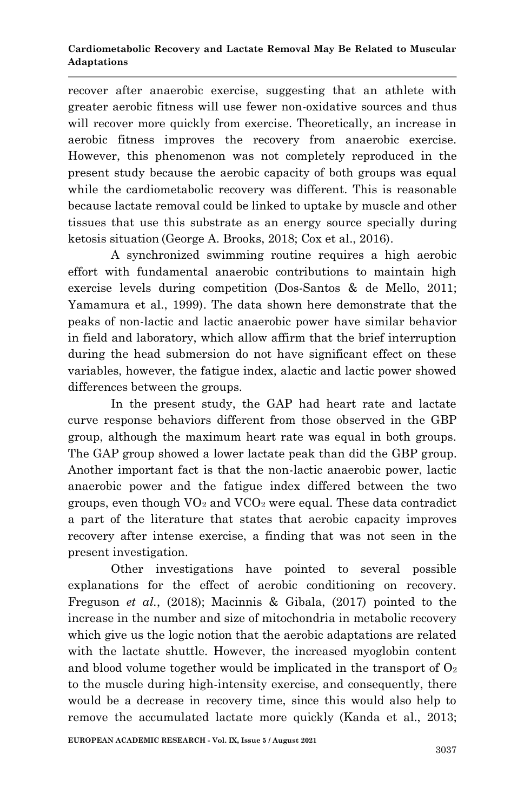recover after anaerobic exercise, suggesting that an athlete with greater aerobic fitness will use fewer non-oxidative sources and thus will recover more quickly from exercise. Theoretically, an increase in aerobic fitness improves the recovery from anaerobic exercise. However, this phenomenon was not completely reproduced in the present study because the aerobic capacity of both groups was equal while the cardiometabolic recovery was different. This is reasonable because lactate removal could be linked to uptake by muscle and other tissues that use this substrate as an energy source specially during ketosis situation (George A. Brooks, 2018; Cox et al., 2016).

A synchronized swimming routine requires a high aerobic effort with fundamental anaerobic contributions to maintain high exercise levels during competition (Dos-Santos & de Mello, 2011; Yamamura et al., 1999). The data shown here demonstrate that the peaks of non-lactic and lactic anaerobic power have similar behavior in field and laboratory, which allow affirm that the brief interruption during the head submersion do not have significant effect on these variables, however, the fatigue index, alactic and lactic power showed differences between the groups.

In the present study, the GAP had heart rate and lactate curve response behaviors different from those observed in the GBP group, although the maximum heart rate was equal in both groups. The GAP group showed a lower lactate peak than did the GBP group. Another important fact is that the non-lactic anaerobic power, lactic anaerobic power and the fatigue index differed between the two groups, even though  $VO<sub>2</sub>$  and  $VCO<sub>2</sub>$  were equal. These data contradict a part of the literature that states that aerobic capacity improves recovery after intense exercise, a finding that was not seen in the present investigation.

Other investigations have pointed to several possible explanations for the effect of aerobic conditioning on recovery. Freguson *et al.*, (2018); Macinnis & Gibala, (2017) pointed to the increase in the number and size of mitochondria in metabolic recovery which give us the logic notion that the aerobic adaptations are related with the lactate shuttle. However, the increased myoglobin content and blood volume together would be implicated in the transport of  $O_2$ to the muscle during high-intensity exercise, and consequently, there would be a decrease in recovery time, since this would also help to remove the accumulated lactate more quickly (Kanda et al., 2013;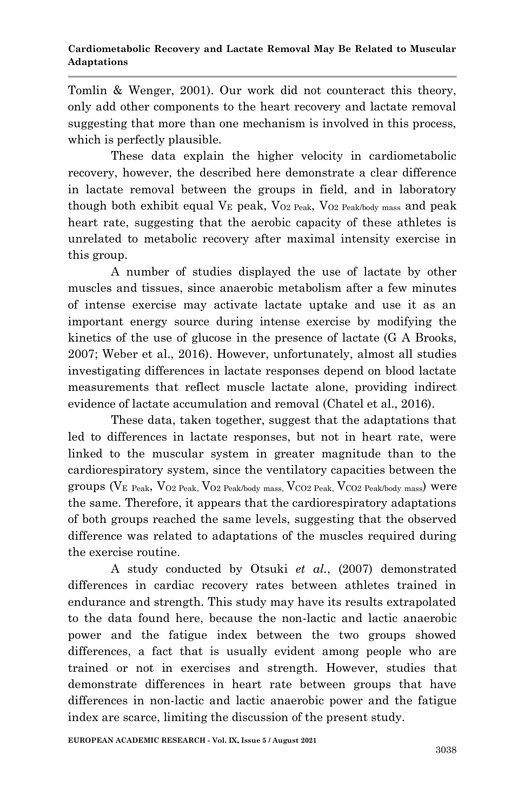Tomlin & Wenger, 2001). Our work did not counteract this theory, only add other components to the heart recovery and lactate removal suggesting that more than one mechanism is involved in this process, which is perfectly plausible.

These data explain the higher velocity in cardiometabolic recovery, however, the described here demonstrate a clear difference in lactate removal between the groups in field, and in laboratory though both exhibit equal  $V_E$  peak,  $V_{O2}$   $_{Peak}$ ,  $V_{O2}$   $_{Peak}$  mass and peak heart rate, suggesting that the aerobic capacity of these athletes is unrelated to metabolic recovery after maximal intensity exercise in this group.

A number of studies displayed the use of lactate by other muscles and tissues, since anaerobic metabolism after a few minutes of intense exercise may activate lactate uptake and use it as an important energy source during intense exercise by modifying the kinetics of the use of glucose in the presence of lactate (G A Brooks, 2007; Weber et al., 2016). However, unfortunately, almost all studies investigating differences in lactate responses depend on blood lactate measurements that reflect muscle lactate alone, providing indirect evidence of lactate accumulation and removal (Chatel et al., 2016).

These data, taken together, suggest that the adaptations that led to differences in lactate responses, but not in heart rate, were linked to the muscular system in greater magnitude than to the cardiorespiratory system, since the ventilatory capacities between the groups ( $V_E$  Peak,  $V_{O2}$  Peak,  $V_{O2}$  Peak/body mass,  $V_{CO2}$  Peak,  $V_{CO2}$  Peak/body mass) were the same. Therefore, it appears that the cardiorespiratory adaptations of both groups reached the same levels, suggesting that the observed difference was related to adaptations of the muscles required during the exercise routine.

A study conducted by Otsuki *et al.*, (2007) demonstrated differences in cardiac recovery rates between athletes trained in endurance and strength. This study may have its results extrapolated to the data found here, because the non-lactic and lactic anaerobic power and the fatigue index between the two groups showed differences, a fact that is usually evident among people who are trained or not in exercises and strength. However, studies that demonstrate differences in heart rate between groups that have differences in non-lactic and lactic anaerobic power and the fatigue index are scarce, limiting the discussion of the present study.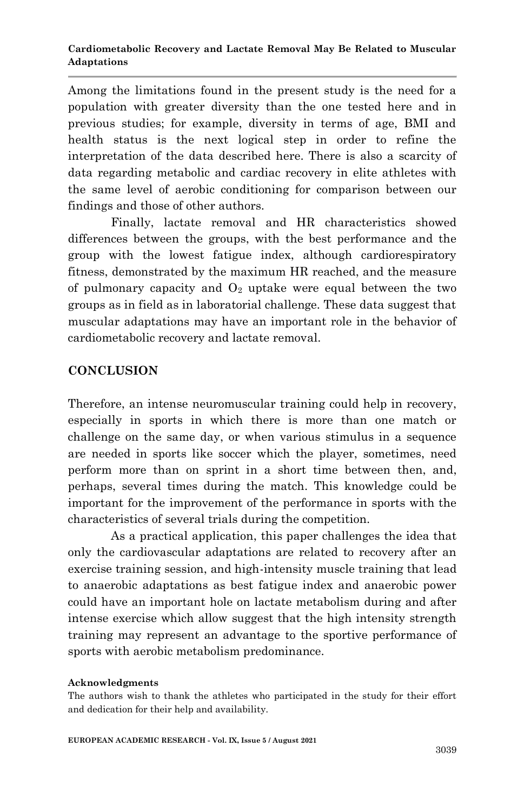Among the limitations found in the present study is the need for a population with greater diversity than the one tested here and in previous studies; for example, diversity in terms of age, BMI and health status is the next logical step in order to refine the interpretation of the data described here. There is also a scarcity of data regarding metabolic and cardiac recovery in elite athletes with the same level of aerobic conditioning for comparison between our findings and those of other authors.

Finally, lactate removal and HR characteristics showed differences between the groups, with the best performance and the group with the lowest fatigue index, although cardiorespiratory fitness, demonstrated by the maximum HR reached, and the measure of pulmonary capacity and  $O_2$  uptake were equal between the two groups as in field as in laboratorial challenge. These data suggest that muscular adaptations may have an important role in the behavior of cardiometabolic recovery and lactate removal.

## **CONCLUSION**

Therefore, an intense neuromuscular training could help in recovery, especially in sports in which there is more than one match or challenge on the same day, or when various stimulus in a sequence are needed in sports like soccer which the player, sometimes, need perform more than on sprint in a short time between then, and, perhaps, several times during the match. This knowledge could be important for the improvement of the performance in sports with the characteristics of several trials during the competition.

As a practical application, this paper challenges the idea that only the cardiovascular adaptations are related to recovery after an exercise training session, and high-intensity muscle training that lead to anaerobic adaptations as best fatigue index and anaerobic power could have an important hole on lactate metabolism during and after intense exercise which allow suggest that the high intensity strength training may represent an advantage to the sportive performance of sports with aerobic metabolism predominance.

#### **Acknowledgments**

The authors wish to thank the athletes who participated in the study for their effort and dedication for their help and availability.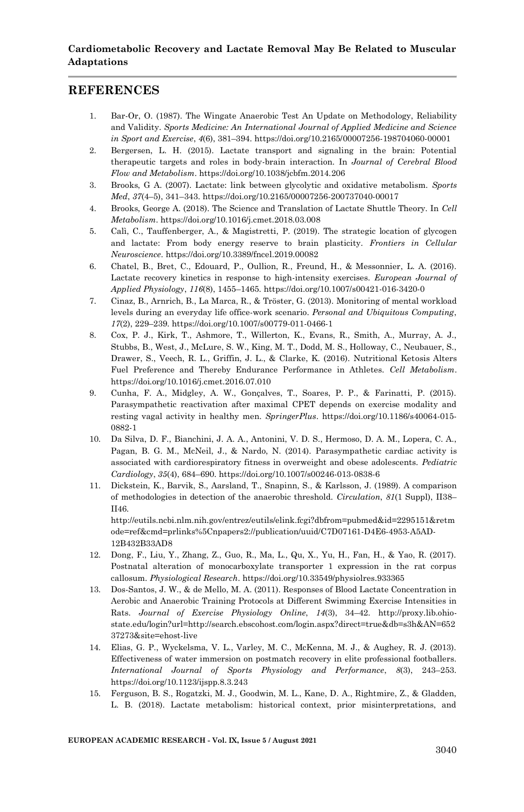### **REFERENCES**

- 1. Bar-Or, O. (1987). The Wingate Anaerobic Test An Update on Methodology, Reliability and Validity. *Sports Medicine: An International Journal of Applied Medicine and Science in Sport and Exercise*, *4*(6), 381–394. https://doi.org/10.2165/00007256-198704060-00001
- 2. Bergersen, L. H. (2015). Lactate transport and signaling in the brain: Potential therapeutic targets and roles in body-brain interaction. In *Journal of Cerebral Blood Flow and Metabolism*. https://doi.org/10.1038/jcbfm.2014.206
- 3. Brooks, G A. (2007). Lactate: link between glycolytic and oxidative metabolism. *Sports Med*, *37*(4–5), 341–343. https://doi.org/10.2165/00007256-200737040-00017
- 4. Brooks, George A. (2018). The Science and Translation of Lactate Shuttle Theory. In *Cell Metabolism*. https://doi.org/10.1016/j.cmet.2018.03.008
- 5. Calì, C., Tauffenberger, A., & Magistretti, P. (2019). The strategic location of glycogen and lactate: From body energy reserve to brain plasticity. *Frontiers in Cellular Neuroscience*. https://doi.org/10.3389/fncel.2019.00082
- 6. Chatel, B., Bret, C., Edouard, P., Oullion, R., Freund, H., & Messonnier, L. A. (2016). Lactate recovery kinetics in response to high-intensity exercises. *European Journal of Applied Physiology*, *116*(8), 1455–1465. https://doi.org/10.1007/s00421-016-3420-0
- 7. Cinaz, B., Arnrich, B., La Marca, R., & Tröster, G. (2013). Monitoring of mental workload levels during an everyday life office-work scenario. *Personal and Ubiquitous Computing*, *17*(2), 229–239. https://doi.org/10.1007/s00779-011-0466-1
- 8. Cox, P. J., Kirk, T., Ashmore, T., Willerton, K., Evans, R., Smith, A., Murray, A. J., Stubbs, B., West, J., McLure, S. W., King, M. T., Dodd, M. S., Holloway, C., Neubauer, S., Drawer, S., Veech, R. L., Griffin, J. L., & Clarke, K. (2016). Nutritional Ketosis Alters Fuel Preference and Thereby Endurance Performance in Athletes. *Cell Metabolism*. https://doi.org/10.1016/j.cmet.2016.07.010
- 9. Cunha, F. A., Midgley, A. W., Gonçalves, T., Soares, P. P., & Farinatti, P. (2015). Parasympathetic reactivation after maximal CPET depends on exercise modality and resting vagal activity in healthy men. *SpringerPlus*. https://doi.org/10.1186/s40064-015- 0882-1
- 10. Da Silva, D. F., Bianchini, J. A. A., Antonini, V. D. S., Hermoso, D. A. M., Lopera, C. A., Pagan, B. G. M., McNeil, J., & Nardo, N. (2014). Parasympathetic cardiac activity is associated with cardiorespiratory fitness in overweight and obese adolescents. *Pediatric Cardiology*, *35*(4), 684–690. https://doi.org/10.1007/s00246-013-0838-6
- 11. Dickstein, K., Barvik, S., Aarsland, T., Snapinn, S., & Karlsson, J. (1989). A comparison of methodologies in detection of the anaerobic threshold. *Circulation*, *81*(1 Suppl), II38– II46.

http://eutils.ncbi.nlm.nih.gov/entrez/eutils/elink.fcgi?dbfrom=pubmed&id=2295151&retm ode=ref&cmd=prlinks%5Cnpapers2://publication/uuid/C7D07161-D4E6-4953-A5AD-12B432B33AD8

- 12. Dong, F., Liu, Y., Zhang, Z., Guo, R., Ma, L., Qu, X., Yu, H., Fan, H., & Yao, R. (2017). Postnatal alteration of monocarboxylate transporter 1 expression in the rat corpus callosum. *Physiological Research*. https://doi.org/10.33549/physiolres.933365
- 13. Dos-Santos, J. W., & de Mello, M. A. (2011). Responses of Blood Lactate Concentration in Aerobic and Anaerobic Training Protocols at Different Swimming Exercise Intensities in Rats. *Journal of Exercise Physiology Online*, *14*(3), 34–42. http://proxy.lib.ohiostate.edu/login?url=http://search.ebscohost.com/login.aspx?direct=true&db=s3h&AN=652 37273&site=ehost-live
- 14. Elias, G. P., Wyckelsma, V. L., Varley, M. C., McKenna, M. J., & Aughey, R. J. (2013). Effectiveness of water immersion on postmatch recovery in elite professional footballers. *International Journal of Sports Physiology and Performance*, *8*(3), 243–253. https://doi.org/10.1123/ijspp.8.3.243
- 15. Ferguson, B. S., Rogatzki, M. J., Goodwin, M. L., Kane, D. A., Rightmire, Z., & Gladden, L. B. (2018). Lactate metabolism: historical context, prior misinterpretations, and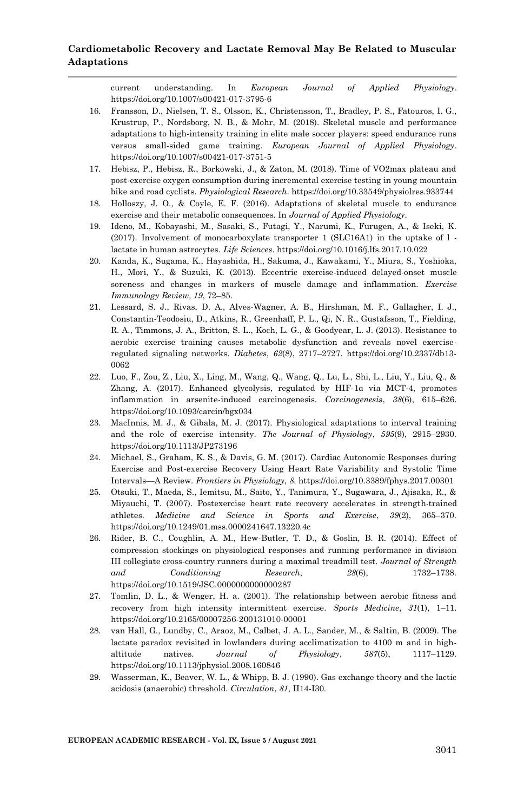current understanding. In *European Journal of Applied Physiology*. https://doi.org/10.1007/s00421-017-3795-6

- 16. Fransson, D., Nielsen, T. S., Olsson, K., Christensson, T., Bradley, P. S., Fatouros, I. G., Krustrup, P., Nordsborg, N. B., & Mohr, M. (2018). Skeletal muscle and performance adaptations to high-intensity training in elite male soccer players: speed endurance runs versus small-sided game training. *European Journal of Applied Physiology*. https://doi.org/10.1007/s00421-017-3751-5
- 17. Hebisz, P., Hebisz, R., Borkowski, J., & Zaton, M. (2018). Time of VO2max plateau and post-exercise oxygen consumption during incremental exercise testing in young mountain bike and road cyclists. *Physiological Research*. https://doi.org/10.33549/physiolres.933744
- 18. Holloszy, J. O., & Coyle, E. F. (2016). Adaptations of skeletal muscle to endurance exercise and their metabolic consequences. In *Journal of Applied Physiology*.
- 19. Ideno, M., Kobayashi, M., Sasaki, S., Futagi, Y., Narumi, K., Furugen, A., & Iseki, K. (2017). Involvement of monocarboxylate transporter 1 (SLC16A1) in the uptake of l lactate in human astrocytes. *Life Sciences*. https://doi.org/10.1016/j.lfs.2017.10.022
- 20. Kanda, K., Sugama, K., Hayashida, H., Sakuma, J., Kawakami, Y., Miura, S., Yoshioka, H., Mori, Y., & Suzuki, K. (2013). Eccentric exercise-induced delayed-onset muscle soreness and changes in markers of muscle damage and inflammation. *Exercise Immunology Review*, *19*, 72–85.
- 21. Lessard, S. J., Rivas, D. A., Alves-Wagner, A. B., Hirshman, M. F., Gallagher, I. J., Constantin-Teodosiu, D., Atkins, R., Greenhaff, P. L., Qi, N. R., Gustafsson, T., Fielding, R. A., Timmons, J. A., Britton, S. L., Koch, L. G., & Goodyear, L. J. (2013). Resistance to aerobic exercise training causes metabolic dysfunction and reveals novel exerciseregulated signaling networks. *Diabetes*, *62*(8), 2717–2727. https://doi.org/10.2337/db13- 0062
- 22. Luo, F., Zou, Z., Liu, X., Ling, M., Wang, Q., Wang, Q., Lu, L., Shi, L., Liu, Y., Liu, Q., & Zhang, A. (2017). Enhanced glycolysis, regulated by HIF-1α via MCT-4, promotes inflammation in arsenite-induced carcinogenesis. *Carcinogenesis*, *38*(6), 615–626. https://doi.org/10.1093/carcin/bgx034
- 23. MacInnis, M. J., & Gibala, M. J. (2017). Physiological adaptations to interval training and the role of exercise intensity. *The Journal of Physiology*, *595*(9), 2915–2930. https://doi.org/10.1113/JP273196
- 24. Michael, S., Graham, K. S., & Davis, G. M. (2017). Cardiac Autonomic Responses during Exercise and Post-exercise Recovery Using Heart Rate Variability and Systolic Time Intervals—A Review. *Frontiers in Physiology*, *8*. https://doi.org/10.3389/fphys.2017.00301
- 25. Otsuki, T., Maeda, S., Iemitsu, M., Saito, Y., Tanimura, Y., Sugawara, J., Ajisaka, R., & Miyauchi, T. (2007). Postexercise heart rate recovery accelerates in strength-trained athletes. *Medicine and Science in Sports and Exercise*, *39*(2), 365–370. https://doi.org/10.1249/01.mss.0000241647.13220.4c
- 26. Rider, B. C., Coughlin, A. M., Hew-Butler, T. D., & Goslin, B. R. (2014). Effect of compression stockings on physiological responses and running performance in division III collegiate cross-country runners during a maximal treadmill test. *Journal of Strength and Conditioning Research*, *28*(6), 1732–1738. https://doi.org/10.1519/JSC.0000000000000287
- 27. Tomlin, D. L., & Wenger, H. a. (2001). The relationship between aerobic fitness and recovery from high intensity intermittent exercise. *Sports Medicine*, *31*(1), 1–11. https://doi.org/10.2165/00007256-200131010-00001
- 28. van Hall, G., Lundby, C., Araoz, M., Calbet, J. A. L., Sander, M., & Saltin, B. (2009). The lactate paradox revisited in lowlanders during acclimatization to 4100 m and in highaltitude natives. *Journal of Physiology*, *587*(5), 1117–1129. https://doi.org/10.1113/jphysiol.2008.160846
- 29. Wasserman, K., Beaver, W. L., & Whipp, B. J. (1990). Gas exchange theory and the lactic acidosis (anaerobic) threshold. *Circulation*, *81*, II14-I30.